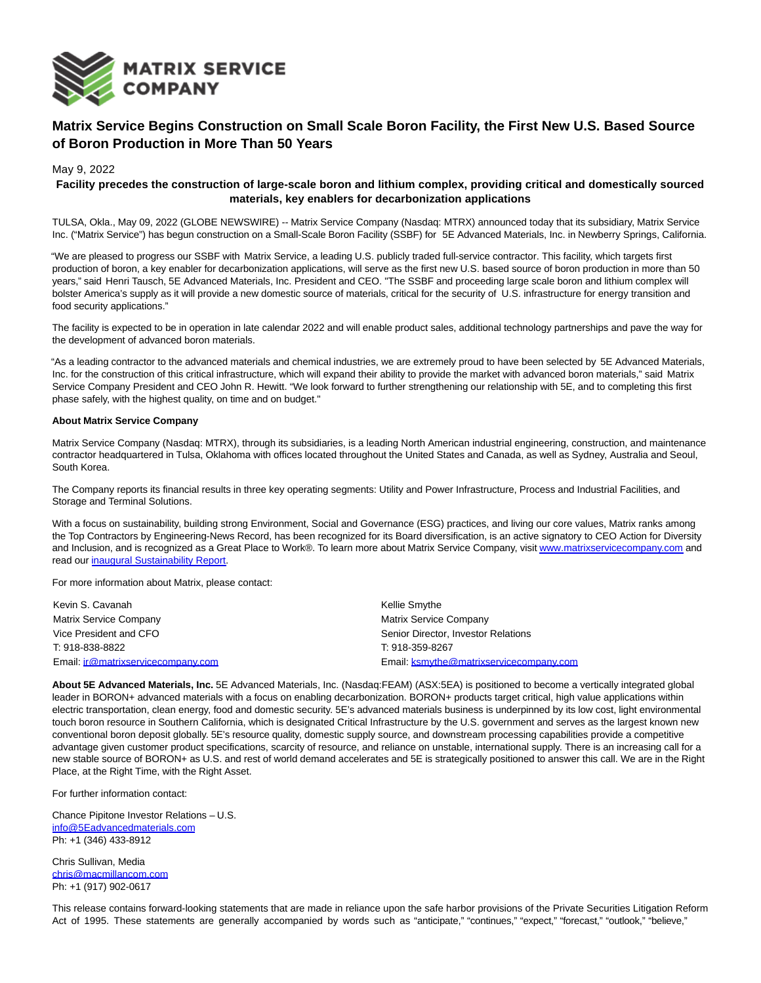

## **Matrix Service Begins Construction on Small Scale Boron Facility, the First New U.S. Based Source of Boron Production in More Than 50 Years**

May 9, 2022

## **Facility precedes the construction of large-scale boron and lithium complex, providing critical and domestically sourced materials, key enablers for decarbonization applications**

TULSA, Okla., May 09, 2022 (GLOBE NEWSWIRE) -- Matrix Service Company (Nasdaq: MTRX) announced today that its subsidiary, Matrix Service Inc. ("Matrix Service") has begun construction on a Small-Scale Boron Facility (SSBF) for 5E Advanced Materials, Inc. in Newberry Springs, California.

"We are pleased to progress our SSBF with Matrix Service, a leading U.S. publicly traded full-service contractor. This facility, which targets first production of boron, a key enabler for decarbonization applications, will serve as the first new U.S. based source of boron production in more than 50 years," said Henri Tausch, 5E Advanced Materials, Inc. President and CEO. "The SSBF and proceeding large scale boron and lithium complex will bolster America's supply as it will provide a new domestic source of materials, critical for the security of U.S. infrastructure for energy transition and food security applications."

The facility is expected to be in operation in late calendar 2022 and will enable product sales, additional technology partnerships and pave the way for the development of advanced boron materials.

"As a leading contractor to the advanced materials and chemical industries, we are extremely proud to have been selected by 5E Advanced Materials, Inc. for the construction of this critical infrastructure, which will expand their ability to provide the market with advanced boron materials," said Matrix Service Company President and CEO John R. Hewitt. "We look forward to further strengthening our relationship with 5E, and to completing this first phase safely, with the highest quality, on time and on budget."

## **About Matrix Service Company**

Matrix Service Company (Nasdaq: MTRX), through its subsidiaries, is a leading North American industrial engineering, construction, and maintenance contractor headquartered in Tulsa, Oklahoma with offices located throughout the United States and Canada, as well as Sydney, Australia and Seoul, South Korea.

The Company reports its financial results in three key operating segments: Utility and Power Infrastructure, Process and Industrial Facilities, and Storage and Terminal Solutions.

With a focus on sustainability, building strong Environment, Social and Governance (ESG) practices, and living our core values, Matrix ranks among the Top Contractors by Engineering-News Record, has been recognized for its Board diversification, is an active signatory to CEO Action for Diversity and Inclusion, and is recognized as a Great Place to Work®. To learn more about Matrix Service Company, visi[t www.matrixservicecompany.com a](https://www.globenewswire.com/Tracker?data=cR3RuTnXYLa3g4DP_pcyAo1w-rs53yyZApxiAhlmLW-JXxV3OIomHXVos4eUI1p9P9AHmawO6nDPGRRFVLuKJZie2I7Gh0zvImMedgfrHPK1O3vexXK5jK5izJlDW2pu)nd read our [inaugural Sustainability Report.](https://www.globenewswire.com/Tracker?data=qXH5we25HHkeVXItMyuF6z7NqQMy87jS0QQnygdE0CBK4DkJVuYOZk38DV9CzBdnQULsc2FCdHoFGVKHKxmnyrKli8TRXsRPyr8vLzN8ofM2YSKN2xAVmO75yf_qJ035O0YJ0ValmjppFpcQPJ-7p6GYYuEf8vOc5PrWLQMQ9JHMy3LuArEalx0rsIUIVSm94i3ERkrVbNsX9W9LYecNIg==)

For more information about Matrix, please contact:

| Kevin S. Cavanah                   | Kellie Smythe                           |
|------------------------------------|-----------------------------------------|
| <b>Matrix Service Company</b>      | <b>Matrix Service Company</b>           |
| Vice President and CFO             | Senior Director, Investor Relations     |
| T: 918-838-8822                    | T 918-359-8267                          |
| Email: ir@matrixservicecompany.com | Email: ksmythe@matrixservicecompany.com |

**About 5E Advanced Materials, Inc.** 5E Advanced Materials, Inc. (Nasdaq:FEAM) (ASX:5EA) is positioned to become a vertically integrated global leader in BORON+ advanced materials with a focus on enabling decarbonization. BORON+ products target critical, high value applications within electric transportation, clean energy, food and domestic security. 5E's advanced materials business is underpinned by its low cost, light environmental touch boron resource in Southern California, which is designated Critical Infrastructure by the U.S. government and serves as the largest known new conventional boron deposit globally. 5E's resource quality, domestic supply source, and downstream processing capabilities provide a competitive advantage given customer product specifications, scarcity of resource, and reliance on unstable, international supply. There is an increasing call for a new stable source of BORON+ as U.S. and rest of world demand accelerates and 5E is strategically positioned to answer this call. We are in the Right Place, at the Right Time, with the Right Asset.

For further information contact:

Chance Pipitone Investor Relations – U.S. [info@5Eadvancedmaterials.com](https://www.globenewswire.com/Tracker?data=1781T7ErdtGLQE1q0itvPGUG-75sFKgG61OqATkUvkPXSvY5-4sp7IRkLHb8JO2vOvAgR59Hik7kKj8sXOcXVjOi-59nPM7h6wDsBQ_bhOhJXGoIgUhoV1NPQPVHudm4) Ph: +1 (346) 433-8912

Chris Sullivan, Media [chris@macmillancom.com](https://www.globenewswire.com/Tracker?data=Ex4EV1K6G25aZP2UjN8avkTf8U6PfBGs_cn0YxyldC7phw9tmB1U5oqEP7OX1PDFNVb83T8LcH-EroWXzFipj09INw4wWo1gEPnUbqAHeJ8=) Ph: +1 (917) 902-0617

This release contains forward-looking statements that are made in reliance upon the safe harbor provisions of the Private Securities Litigation Reform Act of 1995. These statements are generally accompanied by words such as "anticipate," "continues," "expect," "forecast," "outlook," "believe,"